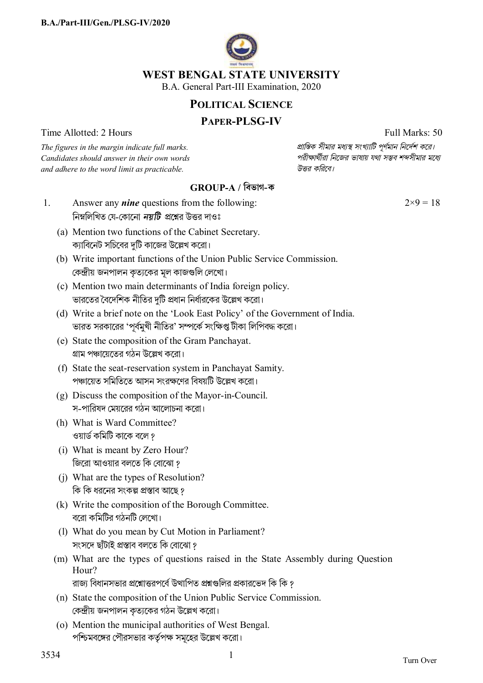

#### **WEST BENGAL STATE UNIVERSITY**

B.A. General Part-III Examination, 2020

## **POLITICAL SCIENCE**

### **PAPER-PLSG-IV**

Time Allotted: 2 Hours Full Marks: 50

*Candidates should answer in their own words পরীkাথীরা িনেজর ভাষায় যথা সmব শbসীমার মেধ° and adhere to the word limit as practicable. উtর কিরেব।*

 $2\times9 = 18$ 

*The figures in the margin indicate full marks. pািnক সীমার মধ°s সংখ°ািট পূণমান িনেদশ কের।*

# **GROUP-A / িবভাগ-ক**

- 1. Answer any *nine* questions from the following: নিম্নলিখিত যে-কোনো *নয়টি প্র*শ্নের উত্তর দাওঃ
	- (a) Mention two functions of the Cabinet Secretary. ক্যাবিনেট সচিবের দটি কাজের উল্লেখ করো।
	- (b) Write important functions of the Union Public Service Commission. কেন্দ্রীয় জনপালন কৃত্যকের মূল কাজগুলি লেখাে।
	- (c) Mention two main determinants of India foreign policy. ভারতের বৈদেশিক নীতির দুটি প্রধান নির্ধারকের উল্লেখ করো।
	- (d) Write a brief note on the 'Look East Policy' of the Government of India. ভারত সরকারের 'পূর্বমুখী নীতির' সম্পর্কে সংক্ষিপ্ত টীকা লিপিবদ্ধ করো।
	- (e) State the composition of the Gram Panchayat. গ্রাম পঞ্চায়েতের গঠন উল্লেখ করো।
	- (f) State the seat-reservation system in Panchayat Samity. পঞ্চায়েত সমিতিতে আসন সংরক্ষণের বিষয়টি উল্লেখ করো।
	- (g) Discuss the composition of the Mayor-in-Council. স-পারিষদ মেয়রের গঠন আলোচনা করো।
	- (h) What is Ward Committee? ওয়ার্ড কমিটি কাকে বলে ?
	- (i) What is meant by Zero Hour? জিরো আওয়ার বলতে কি বােঝাে ?
	- (j) What are the types of Resolution? কি কি ধরনের সংকল্প প্রস্তাব আছে ?
	- (k) Write the composition of the Borough Committee. বেরা কিমিটর গঠনিট লেখা।
	- (l) What do you mean by Cut Motion in Parliament? সংসদে ছাঁটাই প্ৰস্তাব বলতে কি বােঝাে ?
	- (m) What are the types of questions raised in the State Assembly during Question Hour? রাজ্য বিধানসভার প্রশ্নোত্তরপর্বে উত্থাপিত প্রশ্নগুলির প্রকারভেদ কি কি ?
	- (n) State the composition of the Union Public Service Commission. কেন্দ্রীয় জনপালন কত্যকের গঠন উল্লেখ করো।
	- (o) Mention the municipal authorities of West Bengal. পশ্চিমবঙ্গের পৌরসভার কর্তৃপক্ষ সমূহের উল্লেখ করো।